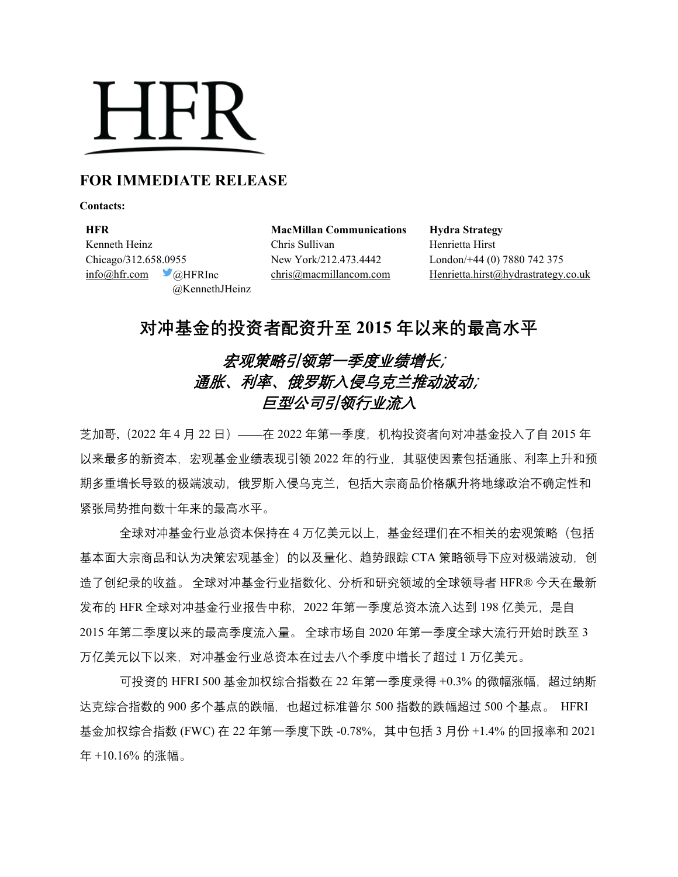## **HFR**

## **FOR IMMEDIATE RELEASE**

**Contacts:**

**HFR MacMillan Communications Hydra Strategy** Kenneth Heinz **Chris Sullivan** Henrietta Hirst Chicago/312.658.0955 New York/212.473.4442 London/+44 (0) 7880 742 375 @KennethJHeinz

[info@hfr.com](mailto:info@hfr.com) @HFRInc [chris@macmillancom.com](mailto:chris@macmillancom.com) Henrietta.hirst@hydrastrategy.co.uk

**对冲基金的投资者配资升至 2015 年以来的最高水平**

## 宏观策略引领第一季度业绩增长; 通胀、利率、俄罗斯入侵乌克兰推动波动; 巨型公司引领行业流入

芝加哥,(2022 年 4 月 22 日)——在 2022 年第一季度,机构投资者向对冲基金投入了自 2015 年 以来最多的新资本,宏观基金业绩表现引领 2022 年的行业,其驱使因素包括通胀、利率上升和预 期多重增长导致的极端波动,俄罗斯入侵乌克兰,包括大宗商品价格飙升将地缘政治不确定性和 紧张局势推向数十年来的最高水平。

全球对冲基金行业总资本保持在 4 万亿美元以上,基金经理们在不相关的宏观策略(包括 基本面大宗商品和认为决策宏观基金)的以及量化、趋势跟踪 CTA 策略领导下应对极端波动, 创 造了创纪录的收益。 全球对冲基金行业指数化、分析和研究领域的全球领导者 HFR® 今天在最新 发布的 HFR 全球对冲基金行业报告中称, 2022 年第一季度总资本流入达到 198 亿美元, 是自 2015 年第二季度以来的最高季度流入量。 全球市场自 2020 年第一季度全球大流行开始时跌至 3 万亿美元以下以来,对冲基金行业总资本在过去八个季度中增长了超过 1 万亿美元。

可投资的 HFRI 500 基金加权综合指数在 22 年第一季度录得 +0.3% 的微幅涨幅, 超过纳斯 达克综合指数的 900 多个基点的跌幅,也超过标准普尔 500 指数的跌幅超过 500 个基点。 HFRI 基金加权综合指数 (FWC) 在 22 年第一季度下跌 -0.78%,其中包括 3 月份 +1.4% 的回报率和 2021 年 +10.16% 的涨幅。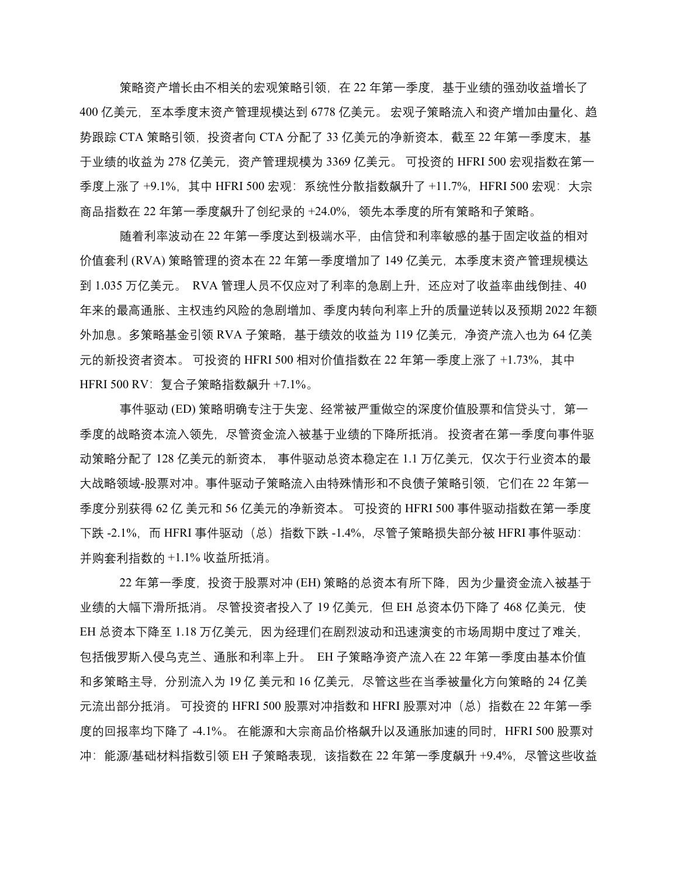策略资产增长由不相关的宏观策略引领,在 22 年第一季度,基于业绩的强劲收益增长了 400 亿美元,至本季度末资产管理规模达到 6778 亿美元。 宏观子策略流入和资产增加由量化、趋 势跟踪 CTA 策略引领,投资者向 CTA 分配了 33 亿美元的净新资本,截至 22 年第一季度末,基 于业绩的收益为 278 亿美元,资产管理规模为 3369 亿美元。 可投资的 HFRI 500 宏观指数在第一 季度上涨了 +9.1%, 其中 HFRI 500 宏观: 系统性分散指数飙升了 +11.7%, HFRI 500 宏观: 大宗 商品指数在 22 年第一季度飙升了创纪录的 +24.0%,领先本季度的所有策略和子策略。

随着利率波动在 22 年第一季度达到极端水平,由信贷和利率敏感的基于固定收益的相对 价值套利 (RVA) 策略管理的资本在 22 年第一季度增加了 149 亿美元, 本季度末资产管理规模达 到 1.035 万亿美元。 RVA 管理人员不仅应对了利率的急剧上升,还应对了收益率曲线倒挂、40 年来的最高通胀、主权违约风险的急剧增加、季度内转向利率上升的质量逆转以及预期 2022 年额 外加息。多策略基金引领 RVA 子策略, 基于绩效的收益为 119 亿美元, 净资产流入也为 64 亿美 元的新投资者资本。 可投资的 HFRI 500 相对价值指数在 22 年第一季度上涨了 +1.73%,其中 HFRI 500 RV:复合子策略指数飙升 +7.1%。

事件驱动 (ED) 策略明确专注于失宠、经常被严重做空的深度价值股票和信贷头寸, 第一 季度的战略资本流入领先,尽管资金流入被基于业绩的下降所抵消。 投资者在第一季度向事件驱 动策略分配了 128 亿美元的新资本, 事件驱动总资本稳定在 1.1 万亿美元, 仅次于行业资本的最 大战略领域-股票对冲。事件驱动子策略流入由特殊情形和不良债子策略引领,它们在 22 年第一 季度分别获得 62 亿 美元和 56 亿美元的净新资本。 可投资的 HFRI 500 事件驱动指数在第一季度 下跌 -2.1%,而 HFRI 事件驱动(总)指数下跌 -1.4%,尽管子策略损失部分被 HFRI 事件驱动: 并购套利指数的 +1.1% 收益所抵消。

22 年第一季度,投资于股票对冲 (EH) 策略的总资本有所下降,因为少量资金流入被基于 业绩的大幅下滑所抵消。 尽管投资者投入了 19 亿美元,但 EH 总资本仍下降了 468 亿美元,使 EH 总资本下降至 1.18 万亿美元,因为经理们在剧烈波动和迅速演变的市场周期中度过了难关, 包括俄罗斯入侵乌克兰、通胀和利率上升。 EH 子策略净资产流入在 22 年第一季度由基本价值 和多策略主导,分别流入为 19 亿 美元和 16 亿美元,尽管这些在当季被量化方向策略的 24 亿美 元流出部分抵消。可投资的 HFRI 500 股票对冲指数和 HFRI 股票对冲 (总) 指数在 22 年第一季 度的回报率均下降了 -4.1%。 在能源和大宗商品价格飙升以及通胀加速的同时,HFRI 500 股票对 冲: 能源/基础材料指数引领 EH 子策略表现, 该指数在 22 年第一季度飙升 +9.4%, 尽管这些收益